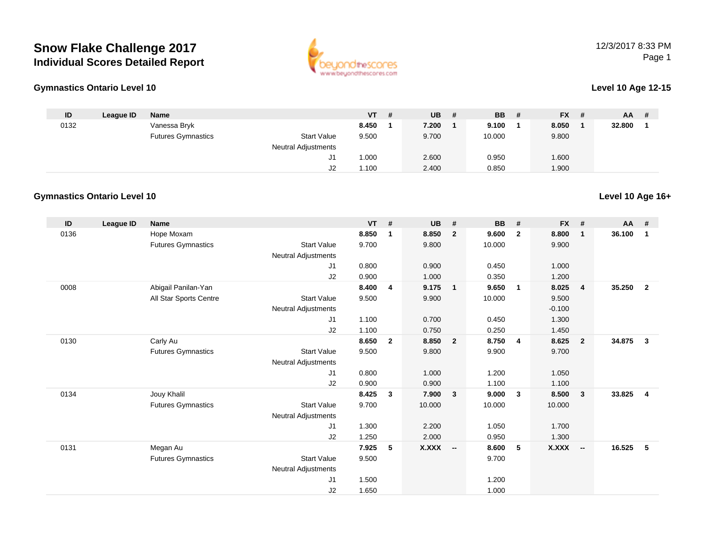# **Snow Flake Challenge 2017Individual Scores Detailed Report**



## 12/3/2017 8:33 PMPage 1

#### **Gymnastics Ontario Level 10**

#### **Level 10 Age 12-15**

| ID   | League ID | <b>Name</b>               |                     | <b>VT</b> | - # | <b>UB</b> | -# | <b>BB</b> | # | <b>FX</b> | # | AA     | # |
|------|-----------|---------------------------|---------------------|-----------|-----|-----------|----|-----------|---|-----------|---|--------|---|
| 0132 |           | Vanessa Bryk              |                     | 8.450     |     | 7.200     |    | 9.100     |   | 8.050     |   | 32.800 |   |
|      |           | <b>Futures Gymnastics</b> | <b>Start Value</b>  | 9.500     |     | 9.700     |    | 10.000    |   | 9.800     |   |        |   |
|      |           |                           | Neutral Adjustments |           |     |           |    |           |   |           |   |        |   |
|      |           |                           | J1                  | 000.1     |     | 2.600     |    | 0.950     |   | 1.600     |   |        |   |
|      |           |                           | ےں                  | 1.100     |     | 2.400     |    | 0.850     |   | 1.900     |   |        |   |

## **Gymnastics Ontario Level 10**

| ID   | <b>League ID</b> | <b>Name</b>               |                            | <b>VT</b> | #              | <b>UB</b>    | #                       | <b>BB</b> | #              | <b>FX</b>    | #                        | AA #   |                |
|------|------------------|---------------------------|----------------------------|-----------|----------------|--------------|-------------------------|-----------|----------------|--------------|--------------------------|--------|----------------|
| 0136 |                  | Hope Moxam                |                            | 8.850     | 1              | 8.850        | $\overline{2}$          | 9.600     | $\overline{2}$ | 8.800        | 1                        | 36.100 | $\mathbf{1}$   |
|      |                  | <b>Futures Gymnastics</b> | <b>Start Value</b>         | 9.700     |                | 9.800        |                         | 10.000    |                | 9.900        |                          |        |                |
|      |                  |                           | <b>Neutral Adjustments</b> |           |                |              |                         |           |                |              |                          |        |                |
|      |                  |                           | J <sub>1</sub>             | 0.800     |                | 0.900        |                         | 0.450     |                | 1.000        |                          |        |                |
|      |                  |                           | J2                         | 0.900     |                | 1.000        |                         | 0.350     |                | 1.200        |                          |        |                |
| 0008 |                  | Abigail Panilan-Yan       |                            | 8.400     | 4              | 9.175        | $\overline{\mathbf{1}}$ | 9.650     | $\overline{1}$ | 8.025        | $\overline{4}$           | 35.250 | $\overline{2}$ |
|      |                  | All Star Sports Centre    | <b>Start Value</b>         | 9.500     |                | 9.900        |                         | 10.000    |                | 9.500        |                          |        |                |
|      |                  |                           | <b>Neutral Adjustments</b> |           |                |              |                         |           |                | $-0.100$     |                          |        |                |
|      |                  |                           | J1                         | 1.100     |                | 0.700        |                         | 0.450     |                | 1.300        |                          |        |                |
|      |                  |                           | J2                         | 1.100     |                | 0.750        |                         | 0.250     |                | 1.450        |                          |        |                |
| 0130 |                  | Carly Au                  |                            | 8.650     | $\overline{2}$ | 8.850        | $\overline{\mathbf{2}}$ | 8.750     | $\overline{4}$ | 8.625        | $\mathbf{2}$             | 34.875 | $\mathbf{3}$   |
|      |                  | <b>Futures Gymnastics</b> | <b>Start Value</b>         | 9.500     |                | 9.800        |                         | 9.900     |                | 9.700        |                          |        |                |
|      |                  |                           | <b>Neutral Adjustments</b> |           |                |              |                         |           |                |              |                          |        |                |
|      |                  |                           | J1                         | 0.800     |                | 1.000        |                         | 1.200     |                | 1.050        |                          |        |                |
|      |                  |                           | J2                         | 0.900     |                | 0.900        |                         | 1.100     |                | 1.100        |                          |        |                |
| 0134 |                  | Jouy Khalil               |                            | 8.425     | $\mathbf{3}$   | 7.900        | $\overline{\mathbf{3}}$ | 9.000     | $\mathbf{3}$   | 8.500        | 3                        | 33.825 | $\overline{4}$ |
|      |                  | <b>Futures Gymnastics</b> | <b>Start Value</b>         | 9.700     |                | 10.000       |                         | 10.000    |                | 10.000       |                          |        |                |
|      |                  |                           | <b>Neutral Adjustments</b> |           |                |              |                         |           |                |              |                          |        |                |
|      |                  |                           | J <sub>1</sub>             | 1.300     |                | 2.200        |                         | 1.050     |                | 1.700        |                          |        |                |
|      |                  |                           | J2                         | 1.250     |                | 2.000        |                         | 0.950     |                | 1.300        |                          |        |                |
| 0131 |                  | Megan Au                  |                            | 7.925     | 5              | <b>X.XXX</b> | - -                     | 8.600     | 5              | <b>X.XXX</b> | $\overline{\phantom{a}}$ | 16.525 | 5              |
|      |                  | <b>Futures Gymnastics</b> | <b>Start Value</b>         | 9.500     |                |              |                         | 9.700     |                |              |                          |        |                |
|      |                  |                           | <b>Neutral Adjustments</b> |           |                |              |                         |           |                |              |                          |        |                |
|      |                  |                           | J <sub>1</sub>             | 1.500     |                |              |                         | 1.200     |                |              |                          |        |                |
|      |                  |                           | J <sub>2</sub>             | 1.650     |                |              |                         | 1.000     |                |              |                          |        |                |

**Level 10 Age 16+**